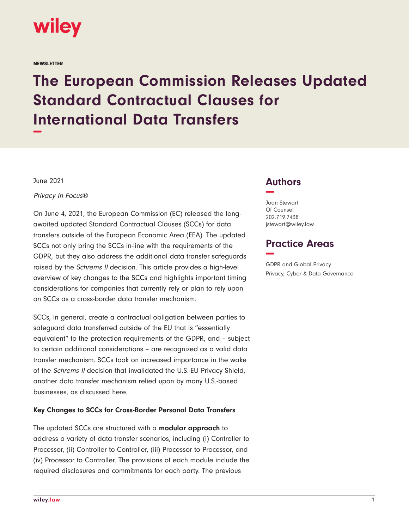

**NEWSLETTER** 

# **The European Commission Releases Updated Standard Contractual Clauses for International Data Transfers −**

June 2021

Privacy In Focus®

On June 4, 2021, the European Commission (EC) released the longawaited updated Standard Contractual Clauses (SCCs) for data transfers outside of the European Economic Area (EEA). The updated SCCs not only bring the SCCs in-line with the requirements of the GDPR, but they also address the additional data transfer safeguards raised by the Schrems II decision. This article provides a high-level overview of key changes to the SCCs and highlights important timing considerations for companies that currently rely or plan to rely upon on SCCs as a cross-border data transfer mechanism.

SCCs, in general, create a contractual obligation between parties to safeguard data transferred outside of the EU that is "essentially equivalent" to the protection requirements of the GDPR, and – subject to certain additional considerations – are recognized as a valid data transfer mechanism. SCCs took on increased importance in the wake of the Schrems II decision that invalidated the U.S.-EU Privacy Shield, another data transfer mechanism relied upon by many U.S.-based businesses, as discussed here.

### **Key Changes to SCCs for Cross-Border Personal Data Transfers**

The updated SCCs are structured with a **modular approach** to address a variety of data transfer scenarios, including (i) Controller to Processor, (ii) Controller to Controller, (iii) Processor to Processor, and (iv) Processor to Controller. The provisions of each module include the required disclosures and commitments for each party. The previous

## **Authors −**

Joan Stewart Of Counsel 202.719.7438 jstewart@wiley.law

## **Practice Areas −**

GDPR and Global Privacy Privacy, Cyber & Data Governance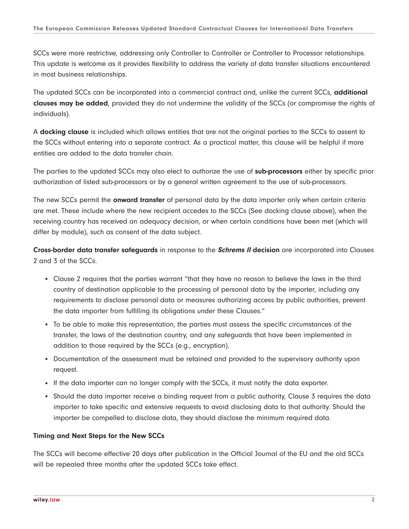SCCs were more restrictive, addressing only Controller to Controller or Controller to Processor relationships. This update is welcome as it provides flexibility to address the variety of data transfer situations encountered in most business relationships.

The updated SCCs can be incorporated into a commercial contract and, unlike the current SCCs, **additional clauses may be added**, provided they do not undermine the validity of the SCCs (or compromise the rights of individuals).

A **docking clause** is included which allows entities that are not the original parties to the SCCs to assent to the SCCs without entering into a separate contract. As a practical matter, this clause will be helpful if more entities are added to the data transfer chain.

The parties to the updated SCCs may also elect to authorize the use of **sub-processors** either by specific prior authorization of listed sub-processors or by a general written agreement to the use of sub-processors.

The new SCCs permit the **onward transfer** of personal data by the data importer only when certain criteria are met. These include where the new recipient accedes to the SCCs (See docking clause above), when the receiving country has received an adequacy decision, or when certain conditions have been met (which will differ by module), such as consent of the data subject.

**Cross-border data transfer safeguards** in response to the **Schrems II decision** are incorporated into Clauses 2 and 3 of the SCCs.

- Clause 2 requires that the parties warrant "that they have no reason to believe the laws in the third country of destination applicable to the processing of personal data by the importer, including any requirements to disclose personal data or measures authorizing access by public authorities, prevent the data importer from fulfilling its obligations under these Clauses."
- To be able to make this representation, the parties must assess the specific circumstances of the transfer, the laws of the destination country, and any safeguards that have been implemented in addition to those required by the SCCs (e.g., encryption).
- Documentation of the assessment must be retained and provided to the supervisory authority upon request.
- If the data importer can no longer comply with the SCCs, it must notify the data exporter.
- Should the data importer receive a binding request from a public authority, Clause 3 requires the data importer to take specific and extensive requests to avoid disclosing data to that authority. Should the importer be compelled to disclose data, they should disclose the minimum required data.

### **Timing and Next Steps for the New SCCs**

The SCCs will become effective 20 days after publication in the Official Journal of the EU and the old SCCs will be repealed three months after the updated SCCs take effect.